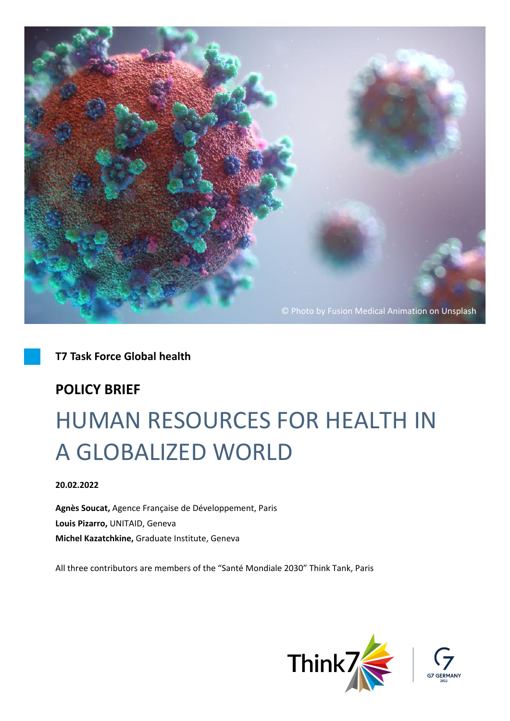

#### **T7 Task Force Global health**

### **POLICY BRIEF**

# HUMAN RESOURCES FOR HEALTH IN A GLOBALIZED WORLD

#### **20.02.2022**

**Agnès Soucat,** Agence Française de Développement, Paris **Louis Pizarro,** UNITAID, Geneva **Michel Kazatchkine,** Graduate Institute, Geneva

All three contributors are members of the "Santé Mondiale 2030" Think Tank, Paris

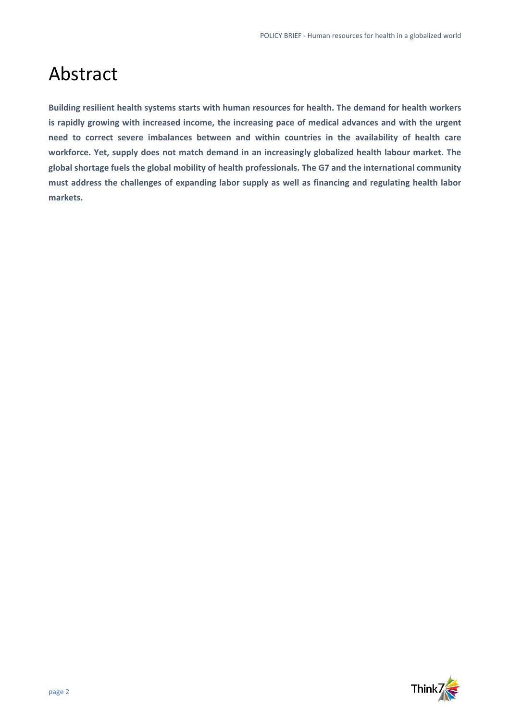### Abstract

**Building resilient health systems starts with human resources for health. The demand for health workers is rapidly growing with increased income, the increasing pace of medical advances and with the urgent need to correct severe imbalances between and within countries in the availability of health care workforce. Yet, supply does not match demand in an increasingly globalized health labour market. The global shortage fuels the global mobility of health professionals. The G7 and the international community must address the challenges of expanding labor supply as well as financing and regulating health labor markets.**

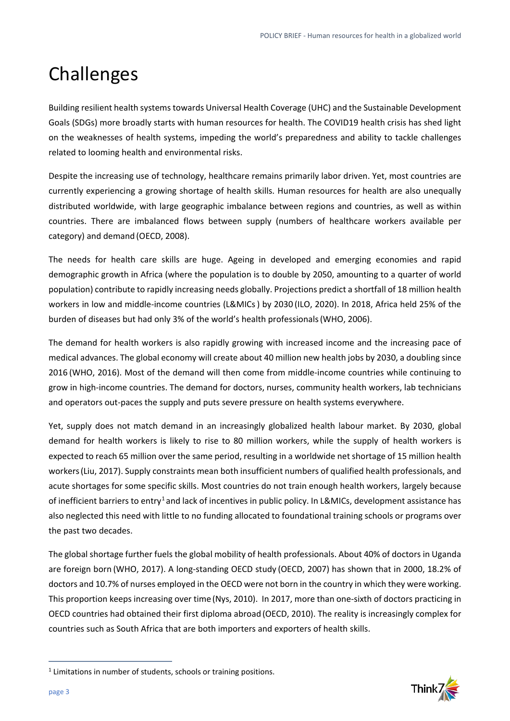# Challenges

Building resilient health systems towards Universal Health Coverage (UHC) and the Sustainable Development Goals (SDGs) more broadly starts with human resources for health. The COVID19 health crisis has shed light on the weaknesses of health systems, impeding the world's preparedness and ability to tackle challenges related to looming health and environmental risks.

Despite the increasing use of technology, healthcare remains primarily labor driven. Yet, most countries are currently experiencing a growing shortage of health skills. Human resources for health are also unequally distributed worldwide, with large geographic imbalance between regions and countries, as well as within countries. There are imbalanced flows between supply (numbers of healthcare workers available per category) and demand (OECD, 2008).

The needs for health care skills are huge. Ageing in developed and emerging economies and rapid demographic growth in Africa (where the population is to double by 2050, amounting to a quarter of world population) contribute to rapidly increasing needs globally. Projections predict a shortfall of 18 million health workers in low and middle-income countries (L&MICs) by 2030 (ILO, 2020). In 2018, Africa held 25% of the burden of diseases but had only 3% of the world's health professionals(WHO, 2006).

The demand for health workers is also rapidly growing with increased income and the increasing pace of medical advances. The global economy will create about 40 million new health jobs by 2030, a doubling since 2016 (WHO, 2016). Most of the demand will then come from middle-income countries while continuing to grow in high-income countries. The demand for doctors, nurses, community health workers, lab technicians and operators out-paces the supply and puts severe pressure on health systems everywhere.

Yet, supply does not match demand in an increasingly globalized health labour market. By 2030, global demand for health workers is likely to rise to 80 million workers, while the supply of health workers is expected to reach 65 million over the same period, resulting in a worldwide net shortage of 15 million health workers(Liu, 2017). Supply constraints mean both insufficient numbers of qualified health professionals, and acute shortages for some specific skills. Most countries do not train enough health workers, largely because of inefficient barriers to entry<sup>[1](#page-2-0)</sup> and lack of incentives in public policy. In L&MICs, development assistance has also neglected this need with little to no funding allocated to foundational training schools or programs over the past two decades.

The global shortage further fuels the global mobility of health professionals. About 40% of doctors in Uganda are foreign born (WHO, 2017). A long-standing OECD study (OECD, 2007) has shown that in 2000, 18.2% of doctors and 10.7% of nurses employed in the OECD were not born in the country in which they were working. This proportion keeps increasing over time (Nys, 2010). In 2017, more than one-sixth of doctors practicing in OECD countries had obtained their first diploma abroad (OECD, 2010). The reality is increasingly complex for countries such as South Africa that are both importers and exporters of health skills.



<span id="page-2-0"></span> $1$  Limitations in number of students, schools or training positions.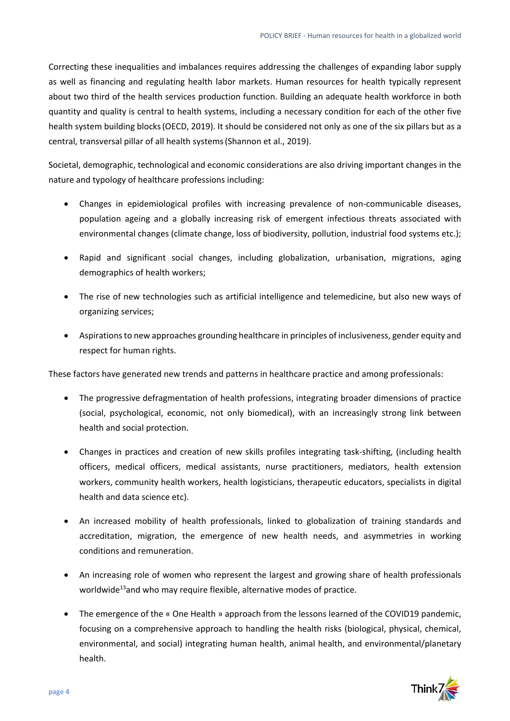Correcting these inequalities and imbalances requires addressing the challenges of expanding labor supply as well as financing and regulating health labor markets. Human resources for health typically represent about two third of the health services production function. Building an adequate health workforce in both quantity and quality is central to health systems, including a necessary condition for each of the other five health system building blocks(OECD, 2019). It should be considered not only as one of the six pillars but as a central, transversal pillar of all health systems(Shannon et al., 2019).

Societal, demographic, technological and economic considerations are also driving important changes in the nature and typology of healthcare professions including:

- Changes in epidemiological profiles with increasing prevalence of non-communicable diseases, population ageing and a globally increasing risk of emergent infectious threats associated with environmental changes (climate change, loss of biodiversity, pollution, industrial food systems etc.);
- Rapid and significant social changes, including globalization, urbanisation, migrations, aging demographics of health workers;
- The rise of new technologies such as artificial intelligence and telemedicine, but also new ways of organizing services;
- Aspirations to new approaches grounding healthcare in principles of inclusiveness, gender equity and respect for human rights.

These factors have generated new trends and patterns in healthcare practice and among professionals:

- The progressive defragmentation of health professions, integrating broader dimensions of practice (social, psychological, economic, not only biomedical), with an increasingly strong link between health and social protection.
- Changes in practices and creation of new skills profiles integrating task-shifting, (including health officers, medical officers, medical assistants, nurse practitioners, mediators, health extension workers, community health workers, health logisticians, therapeutic educators, specialists in digital health and data science etc).
- An increased mobility of health professionals, linked to globalization of training standards and accreditation, migration, the emergence of new health needs, and asymmetries in working conditions and remuneration.
- An increasing role of women who represent the largest and growing share of health professionals worldwide<sup>13</sup> and who may require flexible, alternative modes of practice.
- The emergence of the « One Health » approach from the lessons learned of the COVID19 pandemic, focusing on a comprehensive approach to handling the health risks (biological, physical, chemical, environmental, and social) integrating human health, animal health, and environmental/planetary health.

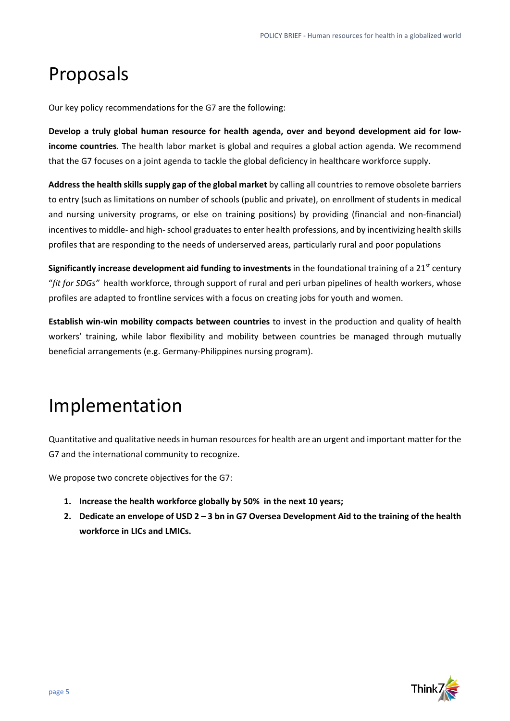### Proposals

Our key policy recommendations for the G7 are the following:

**Develop a truly global human resource for health agenda, over and beyond development aid for lowincome countries**. The health labor market is global and requires a global action agenda. We recommend that the G7 focuses on a joint agenda to tackle the global deficiency in healthcare workforce supply.

**Address the health skills supply gap of the global market** by calling all countries to remove obsolete barriers to entry (such as limitations on number of schools (public and private), on enrollment of students in medical and nursing university programs, or else on training positions) by providing (financial and non-financial) incentives to middle- and high-school graduates to enter health professions, and by incentivizing health skills profiles that are responding to the needs of underserved areas, particularly rural and poor populations

**Significantly increase development aid funding to investments** in the foundational training of a 21<sup>st</sup> century "*fit for SDGs"* health workforce, through support of rural and peri urban pipelines of health workers, whose profiles are adapted to frontline services with a focus on creating jobs for youth and women.

**Establish win-win mobility compacts between countries** to invest in the production and quality of health workers' training, while labor flexibility and mobility between countries be managed through mutually beneficial arrangements (e.g. Germany-Philippines nursing program).

## Implementation

Quantitative and qualitative needs in human resources for health are an urgent and important matter for the G7 and the international community to recognize.

We propose two concrete objectives for the G7:

- **1. Increase the health workforce globally by 50% in the next 10 years;**
- **2. Dedicate an envelope of USD 2 – 3 bn in G7 Oversea Development Aid to the training of the health workforce in LICs and LMICs.**

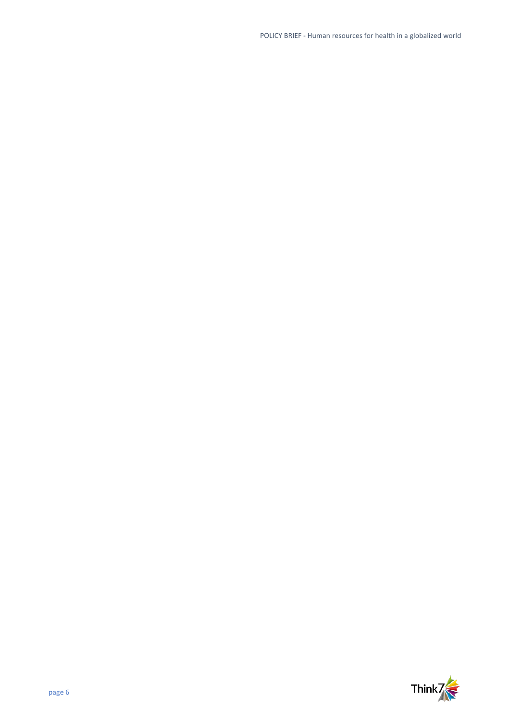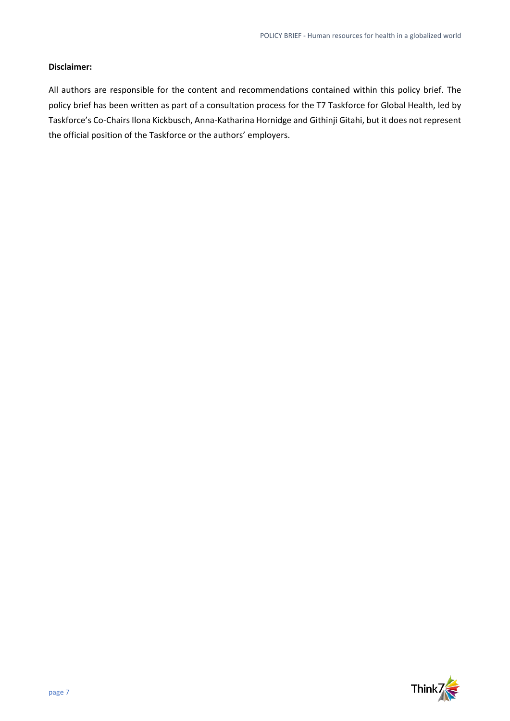#### **Disclaimer:**

All authors are responsible for the content and recommendations contained within this policy brief. The policy brief has been written as part of a consultation process for the T7 Taskforce for Global Health, led by Taskforce's Co-Chairs Ilona Kickbusch, Anna-Katharina Hornidge and Githinji Gitahi, but it does not represent the official position of the Taskforce or the authors' employers.

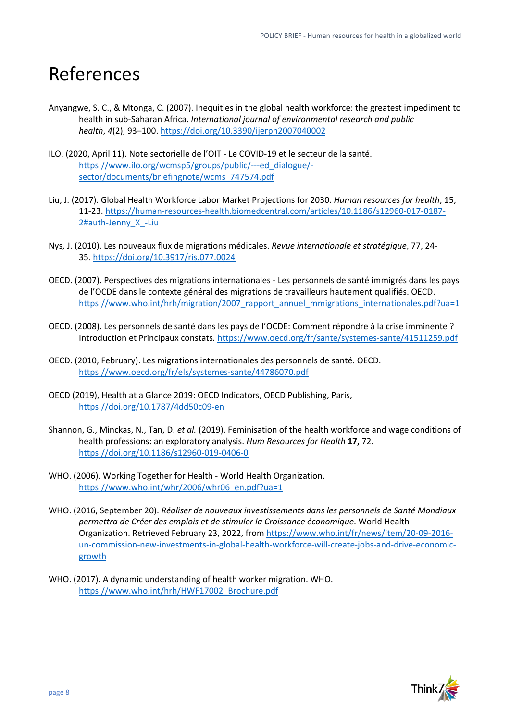### References

- Anyangwe, S. C., & Mtonga, C. (2007). Inequities in the global health workforce: the greatest impediment to health in sub-Saharan Africa. *International journal of environmental research and public health*, *4*(2), 93–100.<https://doi.org/10.3390/ijerph2007040002>
- ILO. (2020, April 11). Note sectorielle de l'OIT Le COVID-19 et le secteur de la santé. [https://www.ilo.org/wcmsp5/groups/public/---ed\\_dialogue/](https://www.ilo.org/wcmsp5/groups/public/---ed_dialogue/-sector/documents/briefingnote/wcms_747574.pdf) [sector/documents/briefingnote/wcms\\_747574.pdf](https://www.ilo.org/wcmsp5/groups/public/---ed_dialogue/-sector/documents/briefingnote/wcms_747574.pdf)
- Liu, J. (2017). Global Health Workforce Labor Market Projections for 2030. *Human resources for health*, 15, 11-23. [https://human-resources-health.biomedcentral.com/articles/10.1186/s12960-017-0187-](https://human-resources-health.biomedcentral.com/articles/10.1186/s12960-017-0187-2#auth-Jenny_X_-Liu) [2#auth-Jenny\\_X\\_-Liu](https://human-resources-health.biomedcentral.com/articles/10.1186/s12960-017-0187-2#auth-Jenny_X_-Liu)
- Nys, J. (2010). Les nouveaux flux de migrations médicales. *Revue internationale et stratégique*, 77, 24- 35. <https://doi.org/10.3917/ris.077.0024>
- OECD. (2007). Perspectives des migrations internationales Les personnels de santé immigrés dans les pays de l'OCDE dans le contexte général des migrations de travailleurs hautement qualifiés. OECD. https://www.who.int/hrh/migration/2007 rapport\_annuel\_mmigrations\_internationales.pdf?ua=1
- OECD. (2008). Les personnels de santé dans les pays de l'OCDE: Comment répondre à la crise imminente ? Introduction et Principaux constats*.* <https://www.oecd.org/fr/sante/systemes-sante/41511259.pdf>
- OECD. (2010, February). Les migrations internationales des personnels de santé. OECD. <https://www.oecd.org/fr/els/systemes-sante/44786070.pdf>
- OECD (2019), Health at a Glance 2019: OECD Indicators, OECD Publishing, Paris, <https://doi.org/10.1787/4dd50c09-en>
- Shannon, G., Minckas, N., Tan, D. *et al.* (2019). Feminisation of the health workforce and wage conditions of health professions: an exploratory analysis. *Hum Resources for Health* **17,** 72. <https://doi.org/10.1186/s12960-019-0406-0>
- WHO. (2006). Working Together for Health World Health Organization. [https://www.who.int/whr/2006/whr06\\_en.pdf?ua=1](https://www.who.int/whr/2006/whr06_en.pdf?ua=1)
- WHO. (2016, September 20). *Réaliser de nouveaux investissements dans les personnels de Santé Mondiaux permettra de Créer des emplois et de stimuler la Croissance économique*. World Health Organization. Retrieved February 23, 2022, from [https://www.who.int/fr/news/item/20-09-2016](https://www.who.int/fr/news/item/20-09-2016-un-commission-new-investments-in-global-health-workforce-will-create-jobs-and-drive-economic-growth) [un-commission-new-investments-in-global-health-workforce-will-create-jobs-and-drive-economic](https://www.who.int/fr/news/item/20-09-2016-un-commission-new-investments-in-global-health-workforce-will-create-jobs-and-drive-economic-growth)[growth](https://www.who.int/fr/news/item/20-09-2016-un-commission-new-investments-in-global-health-workforce-will-create-jobs-and-drive-economic-growth)
- WHO. (2017). A dynamic understanding of health worker migration. WHO. [https://www.who.int/hrh/HWF17002\\_Brochure.pdf](https://www.who.int/hrh/HWF17002_Brochure.pdf)

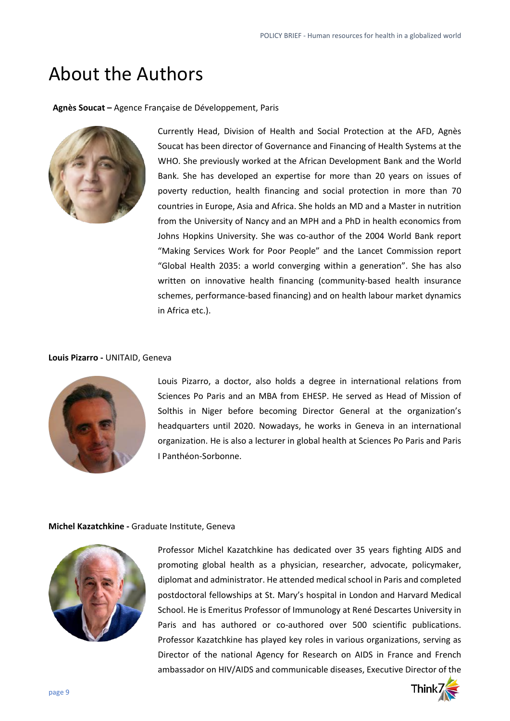### About the Authors

 **Agnès Soucat –** Agence Française de Développement, Paris



Currently Head, Division of Health and Social Protection at the AFD, Agnès Soucat has been director of Governance and Financing of Health Systems at the WHO. She previously worked at the African Development Bank and the World Bank. She has developed an expertise for more than 20 years on issues of poverty reduction, health financing and social protection in more than 70 countries in Europe, Asia and Africa. She holds an MD and a Master in nutrition from the University of Nancy and an MPH and a PhD in health economics from Johns Hopkins University. She was co-author of the 2004 World Bank report "Making Services Work for Poor People" and the Lancet Commission report "Global Health 2035: a world converging within a generation". She has also written on innovative health financing (community-based health insurance schemes, performance-based financing) and on health labour market dynamics in Africa etc.).

#### **Louis Pizarro -** UNITAID, Geneva



Louis Pizarro, a doctor, also holds a degree in international relations from Sciences Po Paris and an MBA from EHESP. He served as Head of Mission of Solthis in Niger before becoming Director General at the organization's headquarters until 2020. Nowadays, he works in Geneva in an international organization. He is also a lecturer in global health at Sciences Po Paris and Paris I Panthéon-Sorbonne.

#### **Michel Kazatchkine -** Graduate Institute, Geneva



Professor Michel Kazatchkine has dedicated over 35 years fighting AIDS and promoting global health as a physician, researcher, advocate, policymaker, diplomat and administrator. He attended medical school in Paris and completed postdoctoral fellowships at St. Mary's hospital in London and Harvard Medical School. He is Emeritus Professor of Immunology at René Descartes University in Paris and has authored or co-authored over 500 scientific publications. Professor Kazatchkine has played key roles in various organizations, serving as Director of the national Agency for Research on AIDS in France and French ambassador on HIV/AIDS and communicable diseases, Executive Director of the

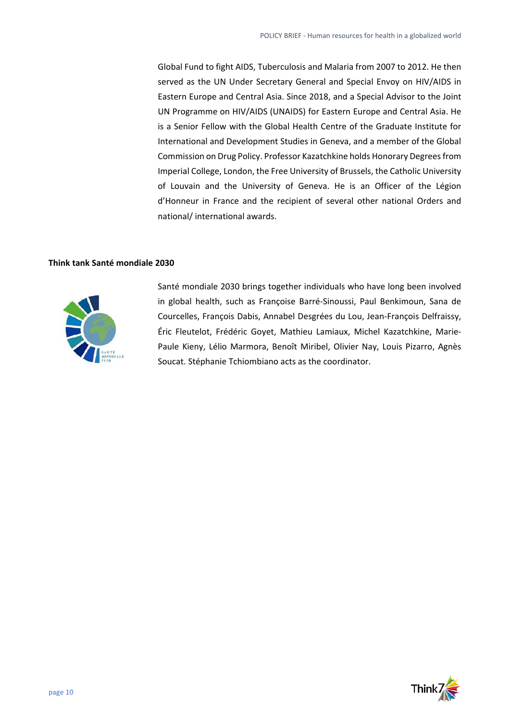Global Fund to fight AIDS, Tuberculosis and Malaria from 2007 to 2012. He then served as the UN Under Secretary General and Special Envoy on HIV/AIDS in Eastern Europe and Central Asia. Since 2018, and a Special Advisor to the Joint UN Programme on HIV/AIDS (UNAIDS) for Eastern Europe and Central Asia. He is a Senior Fellow with the Global Health Centre of the Graduate Institute for International and Development Studies in Geneva, and a member of the Global Commission on Drug Policy. Professor Kazatchkine holds Honorary Degrees from Imperial College, London, the Free University of Brussels, the Catholic University of Louvain and the University of Geneva. He is an Officer of the Légion d'Honneur in France and the recipient of several other national Orders and national/ international awards.

#### **Think tank Santé mondiale 2030**



Santé mondiale 2030 brings together individuals who have long been involved in global health, such as Françoise Barré-Sinoussi, Paul Benkimoun, Sana de Courcelles, François Dabis, Annabel Desgrées du Lou, Jean-François Delfraissy, Éric Fleutelot, Frédéric Goyet, Mathieu Lamiaux, Michel Kazatchkine, Marie-Paule Kieny, Lélio Marmora, Benoît Miribel, Olivier Nay, Louis Pizarro, Agnès Soucat. Stéphanie Tchiombiano acts as the coordinator.